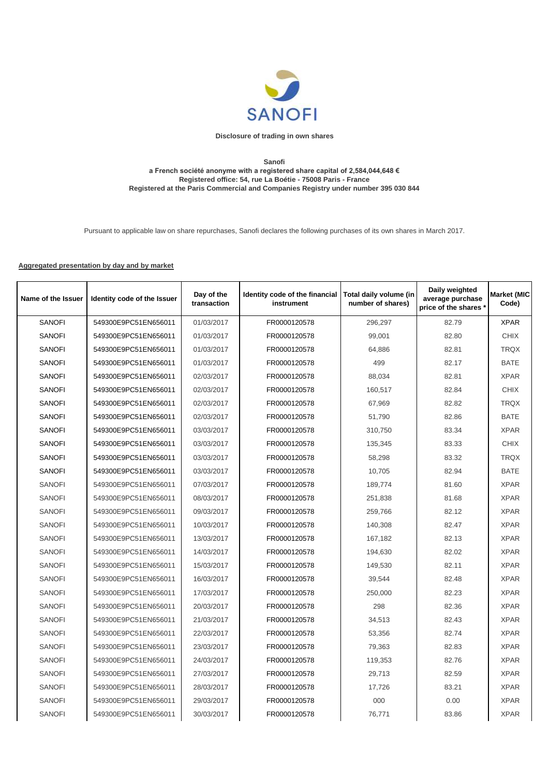

## **Disclosure of trading in own shares**

## **Sanofi a French société anonyme with a registered share capital of 2,584,044,648 € Registered office: 54, rue La Boétie - 75008 Paris - France Registered at the Paris Commercial and Companies Registry under number 395 030 844**

Pursuant to applicable law on share repurchases, Sanofi declares the following purchases of its own shares in March 2017.

## **Aggregated presentation by day and by market**

| Name of the Issuer | Identity code of the Issuer | Day of the<br>transaction | Identity code of the financial<br>instrument | Total daily volume (in<br>number of shares) | Daily weighted<br>average purchase<br>price of the shares * | <b>Market (MIC</b><br>Code) |
|--------------------|-----------------------------|---------------------------|----------------------------------------------|---------------------------------------------|-------------------------------------------------------------|-----------------------------|
| <b>SANOFI</b>      | 549300E9PC51EN656011        | 01/03/2017                | FR0000120578                                 | 296,297                                     | 82.79                                                       | <b>XPAR</b>                 |
| <b>SANOFI</b>      | 549300E9PC51EN656011        | 01/03/2017                | FR0000120578                                 | 99,001                                      | 82.80                                                       | <b>CHIX</b>                 |
| <b>SANOFI</b>      | 549300E9PC51EN656011        | 01/03/2017                | FR0000120578                                 | 64,886                                      | 82.81                                                       | <b>TRQX</b>                 |
| <b>SANOFI</b>      | 549300E9PC51EN656011        | 01/03/2017                | FR0000120578                                 | 499                                         | 82.17                                                       | <b>BATE</b>                 |
| <b>SANOFI</b>      | 549300E9PC51EN656011        | 02/03/2017                | FR0000120578                                 | 88,034                                      | 82.81                                                       | <b>XPAR</b>                 |
| <b>SANOFI</b>      | 549300E9PC51EN656011        | 02/03/2017                | FR0000120578                                 | 160,517                                     | 82.84                                                       | <b>CHIX</b>                 |
| <b>SANOFI</b>      | 549300E9PC51EN656011        | 02/03/2017                | FR0000120578                                 | 67,969                                      | 82.82                                                       | <b>TRQX</b>                 |
| <b>SANOFI</b>      | 549300E9PC51EN656011        | 02/03/2017                | FR0000120578                                 | 51,790                                      | 82.86                                                       | <b>BATE</b>                 |
| <b>SANOFI</b>      | 549300E9PC51EN656011        | 03/03/2017                | FR0000120578                                 | 310,750                                     | 83.34                                                       | <b>XPAR</b>                 |
| <b>SANOFI</b>      | 549300E9PC51EN656011        | 03/03/2017                | FR0000120578                                 | 135,345                                     | 83.33                                                       | <b>CHIX</b>                 |
| <b>SANOFI</b>      | 549300E9PC51EN656011        | 03/03/2017                | FR0000120578                                 | 58,298                                      | 83.32                                                       | <b>TRQX</b>                 |
| <b>SANOFI</b>      | 549300E9PC51EN656011        | 03/03/2017                | FR0000120578                                 | 10,705                                      | 82.94                                                       | BATE                        |
| <b>SANOFI</b>      | 549300E9PC51EN656011        | 07/03/2017                | FR0000120578                                 | 189,774                                     | 81.60                                                       | <b>XPAR</b>                 |
| <b>SANOFI</b>      | 549300E9PC51EN656011        | 08/03/2017                | FR0000120578                                 | 251.838                                     | 81.68                                                       | <b>XPAR</b>                 |
| <b>SANOFI</b>      | 549300E9PC51EN656011        | 09/03/2017                | FR0000120578                                 | 259,766                                     | 82.12                                                       | <b>XPAR</b>                 |
| <b>SANOFI</b>      | 549300E9PC51EN656011        | 10/03/2017                | FR0000120578                                 | 140,308                                     | 82.47                                                       | <b>XPAR</b>                 |
| <b>SANOFI</b>      | 549300E9PC51EN656011        | 13/03/2017                | FR0000120578                                 | 167.182                                     | 82.13                                                       | <b>XPAR</b>                 |
| <b>SANOFI</b>      | 549300E9PC51EN656011        | 14/03/2017                | FR0000120578                                 | 194,630                                     | 82.02                                                       | <b>XPAR</b>                 |
| <b>SANOFI</b>      | 549300E9PC51EN656011        | 15/03/2017                | FR0000120578                                 | 149,530                                     | 82.11                                                       | <b>XPAR</b>                 |
| <b>SANOFI</b>      | 549300E9PC51EN656011        | 16/03/2017                | FR0000120578                                 | 39,544                                      | 82.48                                                       | <b>XPAR</b>                 |
| <b>SANOFI</b>      | 549300E9PC51EN656011        | 17/03/2017                | FR0000120578                                 | 250,000                                     | 82.23                                                       | <b>XPAR</b>                 |
| <b>SANOFI</b>      | 549300E9PC51EN656011        | 20/03/2017                | FR0000120578                                 | 298                                         | 82.36                                                       | <b>XPAR</b>                 |
| <b>SANOFI</b>      | 549300E9PC51EN656011        | 21/03/2017                | FR0000120578                                 | 34,513                                      | 82.43                                                       | <b>XPAR</b>                 |
| <b>SANOFI</b>      | 549300E9PC51EN656011        | 22/03/2017                | FR0000120578                                 | 53,356                                      | 82.74                                                       | <b>XPAR</b>                 |
| <b>SANOFI</b>      | 549300E9PC51EN656011        | 23/03/2017                | FR0000120578                                 | 79,363                                      | 82.83                                                       | <b>XPAR</b>                 |
| <b>SANOFI</b>      | 549300E9PC51EN656011        | 24/03/2017                | FR0000120578                                 | 119,353                                     | 82.76                                                       | <b>XPAR</b>                 |
| <b>SANOFI</b>      | 549300E9PC51EN656011        | 27/03/2017                | FR0000120578                                 | 29,713                                      | 82.59                                                       | <b>XPAR</b>                 |
| <b>SANOFI</b>      | 549300E9PC51EN656011        | 28/03/2017                | FR0000120578                                 | 17,726                                      | 83.21                                                       | <b>XPAR</b>                 |
| <b>SANOFI</b>      | 549300E9PC51EN656011        | 29/03/2017                | FR0000120578                                 | 000                                         | 0.00                                                        | <b>XPAR</b>                 |
| <b>SANOFI</b>      | 549300E9PC51EN656011        | 30/03/2017                | FR0000120578                                 | 76,771                                      | 83.86                                                       | <b>XPAR</b>                 |